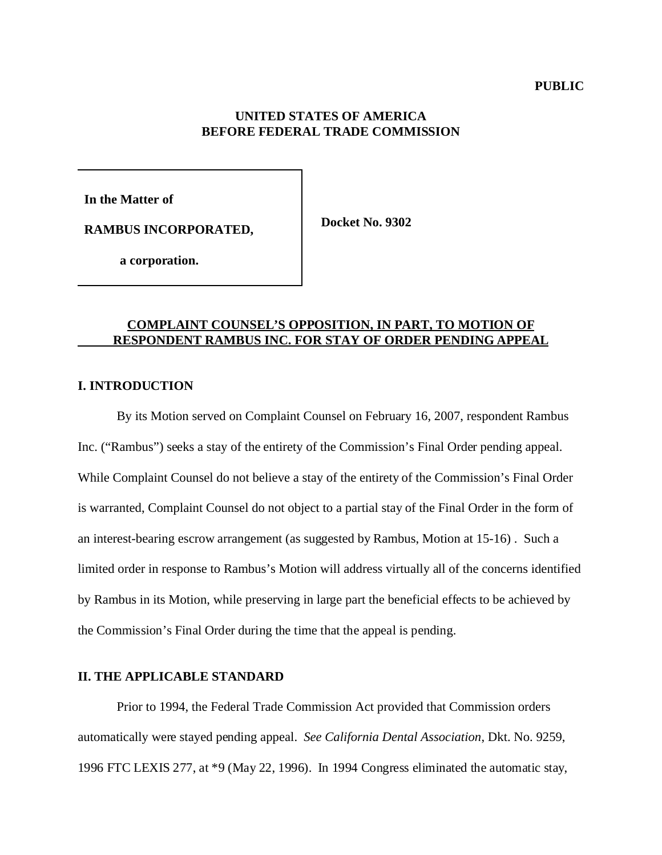## **UNITED STATES OF AMERICA BEFORE FEDERAL TRADE COMMISSION**

**In the Matter of** 

**Docket No. 9302 RAMBUS INCORPORATED,**

 **a corporation.** 

## **COMPLAINT COUNSEL'S OPPOSITION, IN PART, TO MOTION OF RESPONDENT RAMBUS INC. FOR STAY OF ORDER PENDING APPEAL**

## **I. INTRODUCTION**

By its Motion served on Complaint Counsel on February 16, 2007, respondent Rambus Inc. ("Rambus") seeks a stay of the entirety of the Commission's Final Order pending appeal. While Complaint Counsel do not believe a stay of the entirety of the Commission's Final Order is warranted, Complaint Counsel do not object to a partial stay of the Final Order in the form of an interest-bearing escrow arrangement (as suggested by Rambus, Motion at 15-16) . Such a limited order in response to Rambus's Motion will address virtually all of the concerns identified by Rambus in its Motion, while preserving in large part the beneficial effects to be achieved by the Commission's Final Order during the time that the appeal is pending.

## **II. THE APPLICABLE STANDARD**

Prior to 1994, the Federal Trade Commission Act provided that Commission orders automatically were stayed pending appeal. *See California Dental Association*, Dkt. No. 9259, 1996 FTC LEXIS 277, at \*9 (May 22, 1996). In 1994 Congress eliminated the automatic stay,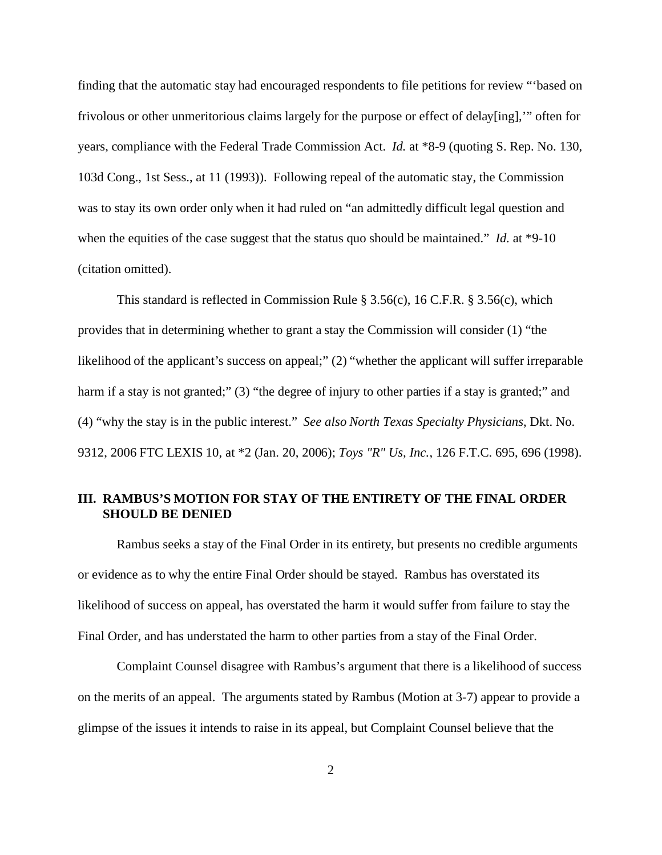finding that the automatic stay had encouraged respondents to file petitions for review "'based on frivolous or other unmeritorious claims largely for the purpose or effect of delay[ing],'" often for years, compliance with the Federal Trade Commission Act. *Id.* at \*8-9 (quoting S. Rep. No. 130, 103d Cong., 1st Sess., at 11 (1993)). Following repeal of the automatic stay, the Commission was to stay its own order only when it had ruled on "an admittedly difficult legal question and when the equities of the case suggest that the status quo should be maintained." *Id.* at \*9-10 (citation omitted).

This standard is reflected in Commission Rule § 3.56(c), 16 C.F.R. § 3.56(c), which provides that in determining whether to grant a stay the Commission will consider (1) "the likelihood of the applicant's success on appeal;" (2) "whether the applicant will suffer irreparable harm if a stay is not granted;" (3) "the degree of injury to other parties if a stay is granted;" and (4) "why the stay is in the public interest." *See also North Texas Specialty Physicians*, Dkt. No. 9312, 2006 FTC LEXIS 10, at \*2 (Jan. 20, 2006); *Toys "R" Us, Inc.*, 126 F.T.C. 695, 696 (1998).

## **III. RAMBUS'S MOTION FOR STAY OF THE ENTIRETY OF THE FINAL ORDER SHOULD BE DENIED**

Rambus seeks a stay of the Final Order in its entirety, but presents no credible arguments or evidence as to why the entire Final Order should be stayed. Rambus has overstated its likelihood of success on appeal, has overstated the harm it would suffer from failure to stay the Final Order, and has understated the harm to other parties from a stay of the Final Order.

Complaint Counsel disagree with Rambus's argument that there is a likelihood of success on the merits of an appeal. The arguments stated by Rambus (Motion at 3-7) appear to provide a glimpse of the issues it intends to raise in its appeal, but Complaint Counsel believe that the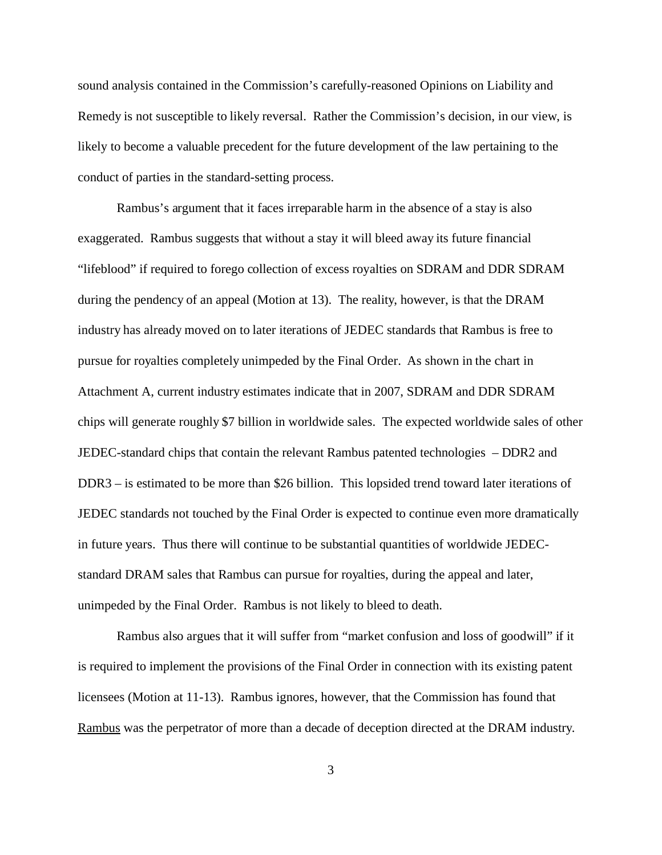sound analysis contained in the Commission's carefully-reasoned Opinions on Liability and Remedy is not susceptible to likely reversal. Rather the Commission's decision, in our view, is likely to become a valuable precedent for the future development of the law pertaining to the conduct of parties in the standard-setting process.

Rambus's argument that it faces irreparable harm in the absence of a stay is also exaggerated. Rambus suggests that without a stay it will bleed away its future financial "lifeblood" if required to forego collection of excess royalties on SDRAM and DDR SDRAM during the pendency of an appeal (Motion at 13). The reality, however, is that the DRAM industry has already moved on to later iterations of JEDEC standards that Rambus is free to pursue for royalties completely unimpeded by the Final Order. As shown in the chart in Attachment A, current industry estimates indicate that in 2007, SDRAM and DDR SDRAM chips will generate roughly \$7 billion in worldwide sales. The expected worldwide sales of other JEDEC-standard chips that contain the relevant Rambus patented technologies – DDR2 and DDR3 – is estimated to be more than \$26 billion. This lopsided trend toward later iterations of JEDEC standards not touched by the Final Order is expected to continue even more dramatically in future years. Thus there will continue to be substantial quantities of worldwide JEDECstandard DRAM sales that Rambus can pursue for royalties, during the appeal and later, unimpeded by the Final Order. Rambus is not likely to bleed to death.

Rambus also argues that it will suffer from "market confusion and loss of goodwill" if it is required to implement the provisions of the Final Order in connection with its existing patent licensees (Motion at 11-13). Rambus ignores, however, that the Commission has found that Rambus was the perpetrator of more than a decade of deception directed at the DRAM industry.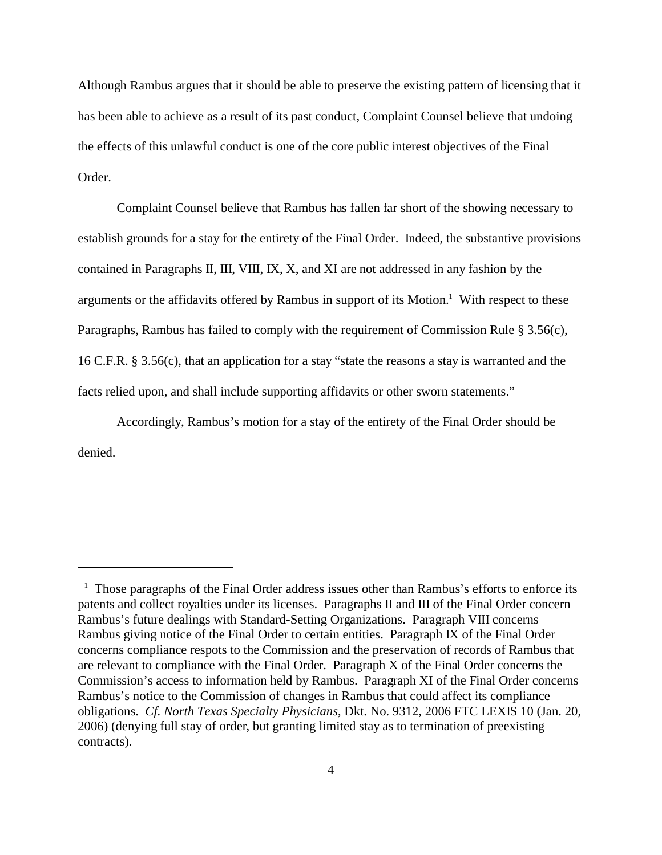Although Rambus argues that it should be able to preserve the existing pattern of licensing that it has been able to achieve as a result of its past conduct, Complaint Counsel believe that undoing the effects of this unlawful conduct is one of the core public interest objectives of the Final Order.

Complaint Counsel believe that Rambus has fallen far short of the showing necessary to establish grounds for a stay for the entirety of the Final Order. Indeed, the substantive provisions contained in Paragraphs II, III, VIII, IX, X, and XI are not addressed in any fashion by the arguments or the affidavits offered by Rambus in support of its Motion.<sup>1</sup> With respect to these Paragraphs, Rambus has failed to comply with the requirement of Commission Rule § 3.56(c), 16 C.F.R. § 3.56(c), that an application for a stay "state the reasons a stay is warranted and the facts relied upon, and shall include supporting affidavits or other sworn statements."

Accordingly, Rambus's motion for a stay of the entirety of the Final Order should be denied.

<sup>&</sup>lt;sup>1</sup> Those paragraphs of the Final Order address issues other than Rambus's efforts to enforce its patents and collect royalties under its licenses. Paragraphs II and III of the Final Order concern Rambus's future dealings with Standard-Setting Organizations. Paragraph VIII concerns Rambus giving notice of the Final Order to certain entities. Paragraph IX of the Final Order concerns compliance respots to the Commission and the preservation of records of Rambus that are relevant to compliance with the Final Order. Paragraph X of the Final Order concerns the Commission's access to information held by Rambus. Paragraph XI of the Final Order concerns Rambus's notice to the Commission of changes in Rambus that could affect its compliance obligations. *Cf. North Texas Specialty Physicians*, Dkt. No. 9312, 2006 FTC LEXIS 10 (Jan. 20, 2006) (denying full stay of order, but granting limited stay as to termination of preexisting contracts).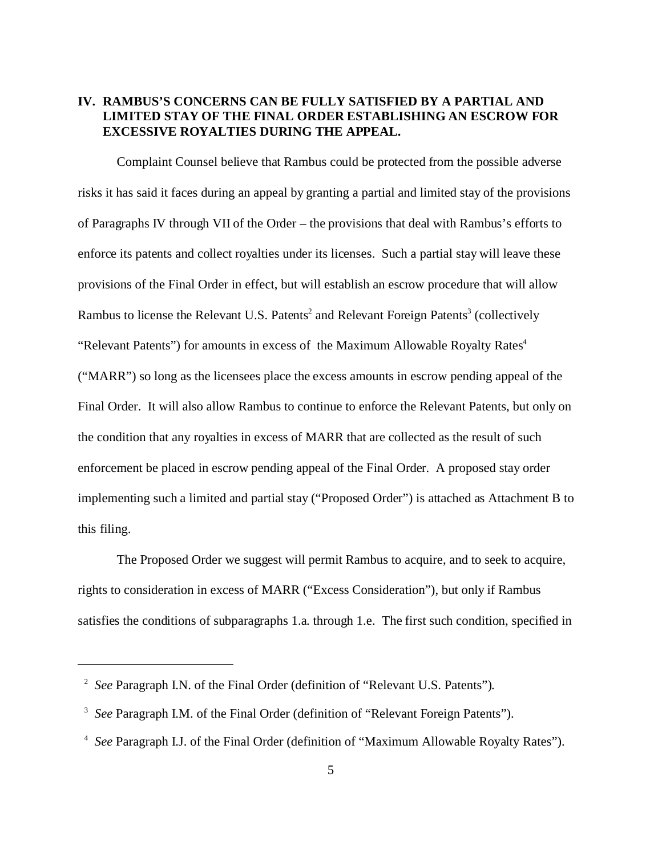# **IV. RAMBUS'S CONCERNS CAN BE FULLY SATISFIED BY A PARTIAL AND LIMITED STAY OF THE FINAL ORDER ESTABLISHING AN ESCROW FOR EXCESSIVE ROYALTIES DURING THE APPEAL.**

Complaint Counsel believe that Rambus could be protected from the possible adverse risks it has said it faces during an appeal by granting a partial and limited stay of the provisions of Paragraphs IV through VII of the Order – the provisions that deal with Rambus's efforts to enforce its patents and collect royalties under its licenses. Such a partial stay will leave these provisions of the Final Order in effect, but will establish an escrow procedure that will allow Rambus to license the Relevant U.S. Patents<sup>2</sup> and Relevant Foreign Patents<sup>3</sup> (collectively "Relevant Patents") for amounts in excess of the Maximum Allowable Royalty Rates<sup>4</sup> ("MARR") so long as the licensees place the excess amounts in escrow pending appeal of the Final Order. It will also allow Rambus to continue to enforce the Relevant Patents, but only on the condition that any royalties in excess of MARR that are collected as the result of such enforcement be placed in escrow pending appeal of the Final Order. A proposed stay order implementing such a limited and partial stay ("Proposed Order") is attached as Attachment B to this filing.

The Proposed Order we suggest will permit Rambus to acquire, and to seek to acquire, rights to consideration in excess of MARR ("Excess Consideration"), but only if Rambus satisfies the conditions of subparagraphs 1.a. through 1.e. The first such condition, specified in

<sup>2</sup>*See* Paragraph I.N. of the Final Order (definition of "Relevant U.S. Patents").

<sup>3</sup>*See* Paragraph I.M. of the Final Order (definition of "Relevant Foreign Patents").

<sup>4</sup>*See* Paragraph I.J. of the Final Order (definition of "Maximum Allowable Royalty Rates").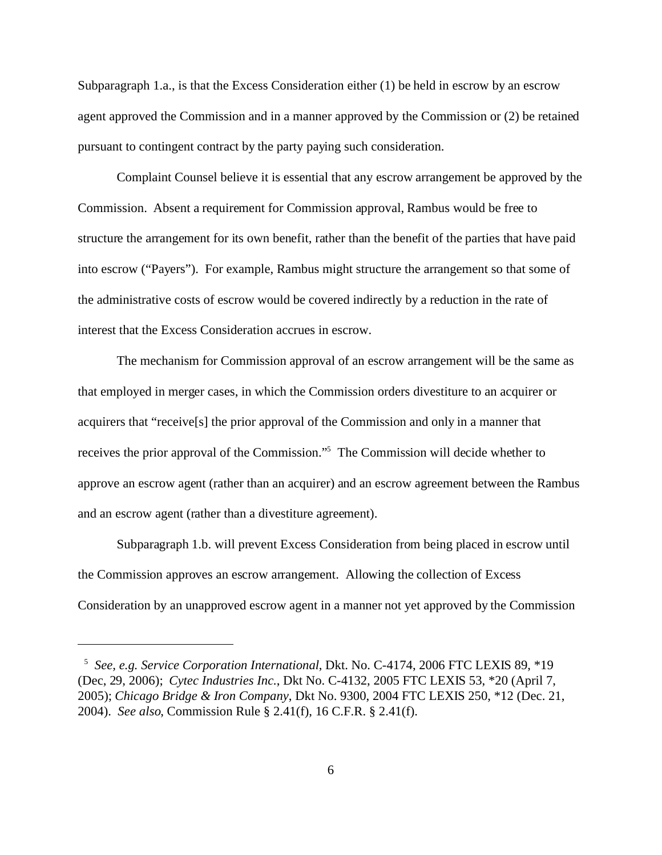Subparagraph 1.a., is that the Excess Consideration either (1) be held in escrow by an escrow agent approved the Commission and in a manner approved by the Commission or (2) be retained pursuant to contingent contract by the party paying such consideration.

Complaint Counsel believe it is essential that any escrow arrangement be approved by the Commission. Absent a requirement for Commission approval, Rambus would be free to structure the arrangement for its own benefit, rather than the benefit of the parties that have paid into escrow ("Payers"). For example, Rambus might structure the arrangement so that some of the administrative costs of escrow would be covered indirectly by a reduction in the rate of interest that the Excess Consideration accrues in escrow.

The mechanism for Commission approval of an escrow arrangement will be the same as that employed in merger cases, in which the Commission orders divestiture to an acquirer or acquirers that "receive[s] the prior approval of the Commission and only in a manner that receives the prior approval of the Commission."<sup>5</sup> The Commission will decide whether to approve an escrow agent (rather than an acquirer) and an escrow agreement between the Rambus and an escrow agent (rather than a divestiture agreement).

Subparagraph 1.b. will prevent Excess Consideration from being placed in escrow until the Commission approves an escrow arrangement. Allowing the collection of Excess Consideration by an unapproved escrow agent in a manner not yet approved by the Commission

<sup>&</sup>lt;sup>5</sup> See, e.g. Service Corporation International, Dkt. No. C-4174, 2006 FTC LEXIS 89, \*19 (Dec, 29, 2006); *Cytec Industries Inc.*, Dkt No. C-4132, 2005 FTC LEXIS 53, \*20 (April 7, 2005); *Chicago Bridge & Iron Company*, Dkt No. 9300, 2004 FTC LEXIS 250, \*12 (Dec. 21, 2004). *See also*, Commission Rule § 2.41(f), 16 C.F.R. § 2.41(f).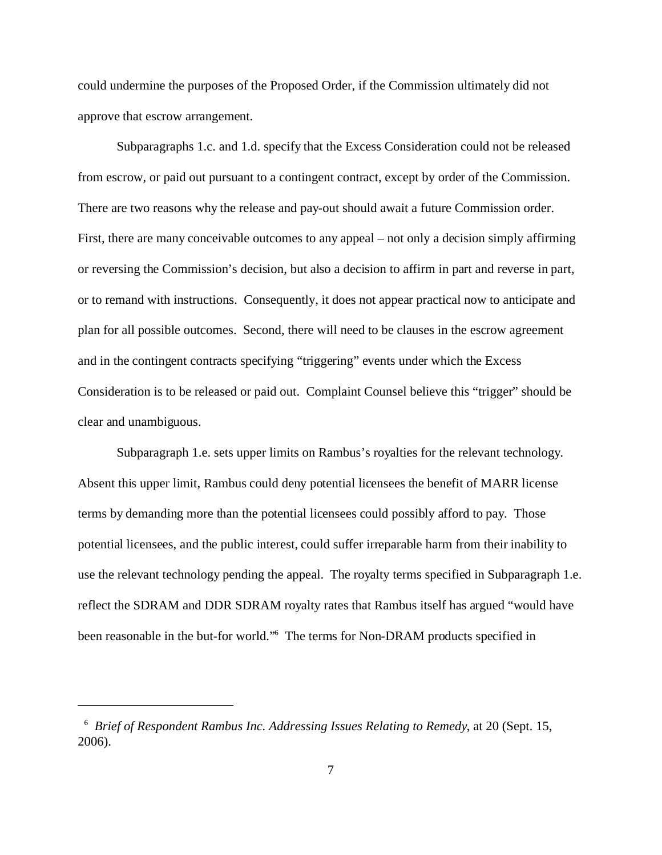could undermine the purposes of the Proposed Order, if the Commission ultimately did not approve that escrow arrangement.

Subparagraphs 1.c. and 1.d. specify that the Excess Consideration could not be released from escrow, or paid out pursuant to a contingent contract, except by order of the Commission. There are two reasons why the release and pay-out should await a future Commission order. First, there are many conceivable outcomes to any appeal – not only a decision simply affirming or reversing the Commission's decision, but also a decision to affirm in part and reverse in part, or to remand with instructions. Consequently, it does not appear practical now to anticipate and plan for all possible outcomes. Second, there will need to be clauses in the escrow agreement and in the contingent contracts specifying "triggering" events under which the Excess Consideration is to be released or paid out. Complaint Counsel believe this "trigger" should be clear and unambiguous.

Subparagraph 1.e. sets upper limits on Rambus's royalties for the relevant technology. Absent this upper limit, Rambus could deny potential licensees the benefit of MARR license terms by demanding more than the potential licensees could possibly afford to pay. Those potential licensees, and the public interest, could suffer irreparable harm from their inability to use the relevant technology pending the appeal. The royalty terms specified in Subparagraph 1.e. reflect the SDRAM and DDR SDRAM royalty rates that Rambus itself has argued "would have been reasonable in the but-for world."6 The terms for Non-DRAM products specified in

<sup>&</sup>lt;sup>6</sup> Brief of Respondent Rambus Inc. Addressing Issues Relating to Remedy, at 20 (Sept. 15, 2006).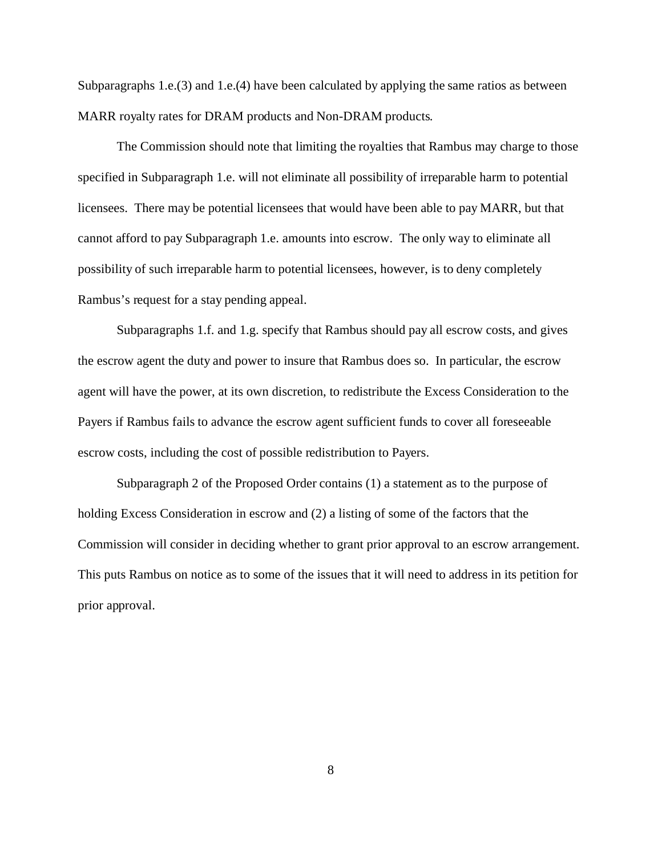Subparagraphs 1.e.(3) and 1.e.(4) have been calculated by applying the same ratios as between MARR royalty rates for DRAM products and Non-DRAM products.

The Commission should note that limiting the royalties that Rambus may charge to those specified in Subparagraph 1.e. will not eliminate all possibility of irreparable harm to potential licensees. There may be potential licensees that would have been able to pay MARR, but that cannot afford to pay Subparagraph 1.e. amounts into escrow. The only way to eliminate all possibility of such irreparable harm to potential licensees, however, is to deny completely Rambus's request for a stay pending appeal.

Subparagraphs 1.f. and 1.g. specify that Rambus should pay all escrow costs, and gives the escrow agent the duty and power to insure that Rambus does so. In particular, the escrow agent will have the power, at its own discretion, to redistribute the Excess Consideration to the Payers if Rambus fails to advance the escrow agent sufficient funds to cover all foreseeable escrow costs, including the cost of possible redistribution to Payers.

Subparagraph 2 of the Proposed Order contains (1) a statement as to the purpose of holding Excess Consideration in escrow and (2) a listing of some of the factors that the Commission will consider in deciding whether to grant prior approval to an escrow arrangement. This puts Rambus on notice as to some of the issues that it will need to address in its petition for prior approval.

8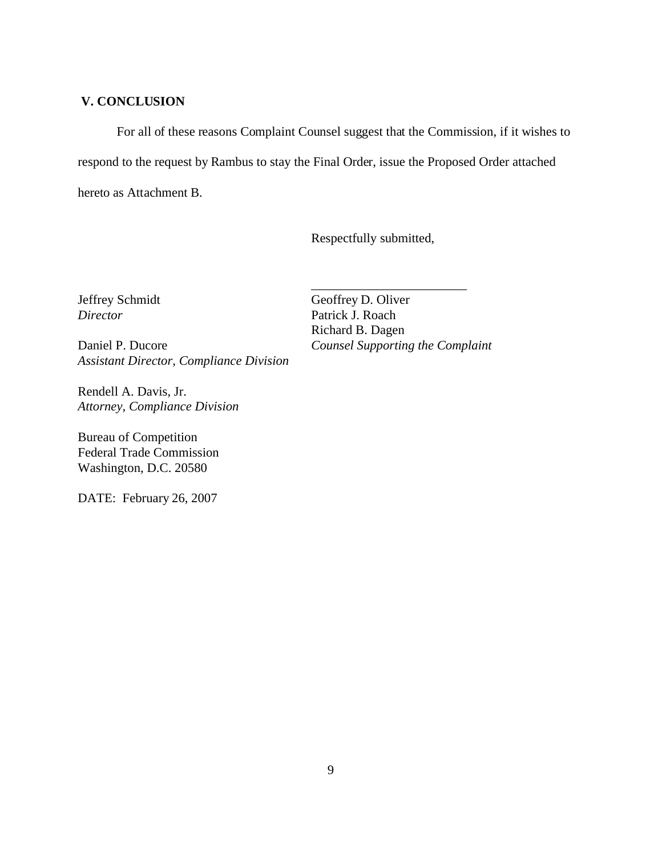## **V. CONCLUSION**

For all of these reasons Complaint Counsel suggest that the Commission, if it wishes to respond to the request by Rambus to stay the Final Order, issue the Proposed Order attached hereto as Attachment B.

Respectfully submitted,

*Assistant Director, Compliance Division* 

Rendell A. Davis, Jr. *Attorney, Compliance Division* 

Bureau of Competition Federal Trade Commission Washington, D.C. 20580

DATE: February 26, 2007

Jeffrey Schmidt Geoffrey D. Oliver *Director* Patrick J. Roach Richard B. Dagen Daniel P. Ducore *Counsel Supporting the Complaint* 

\_\_\_\_\_\_\_\_\_\_\_\_\_\_\_\_\_\_\_\_\_\_\_\_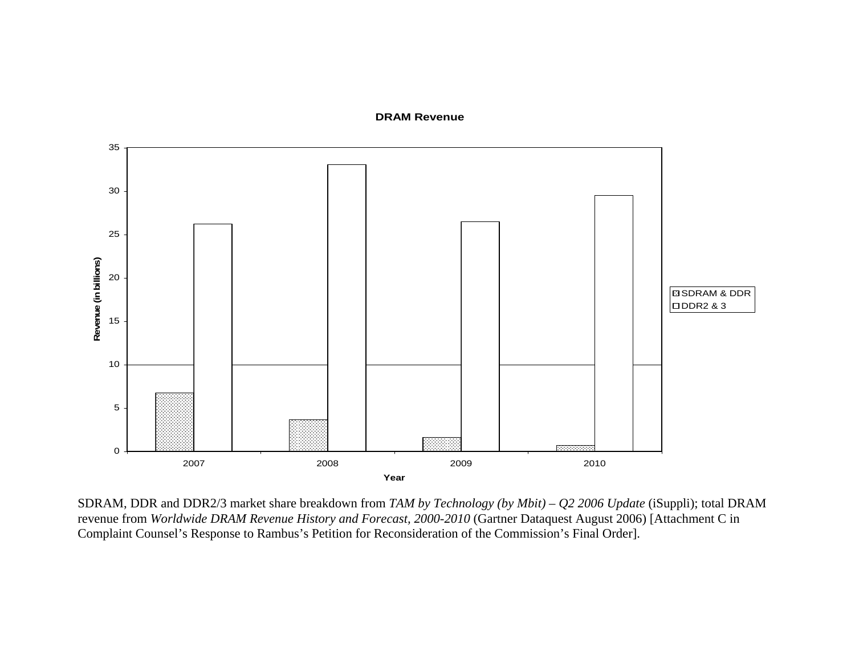#### **DRAM Revenue**



SDRAM, DDR and DDR2/3 market share breakdown from *TAM by Technology (by Mbit) – Q2 2006 Update* (iSuppli); total DRAM revenue from *Worldwide DRAM Revenue History and Forecast, 2000-2010* (Gartner Dataquest August 2006) [Attachment C in Complaint Counsel's Response to Rambus's Petition for Reconsideration of the Commission's Final Order].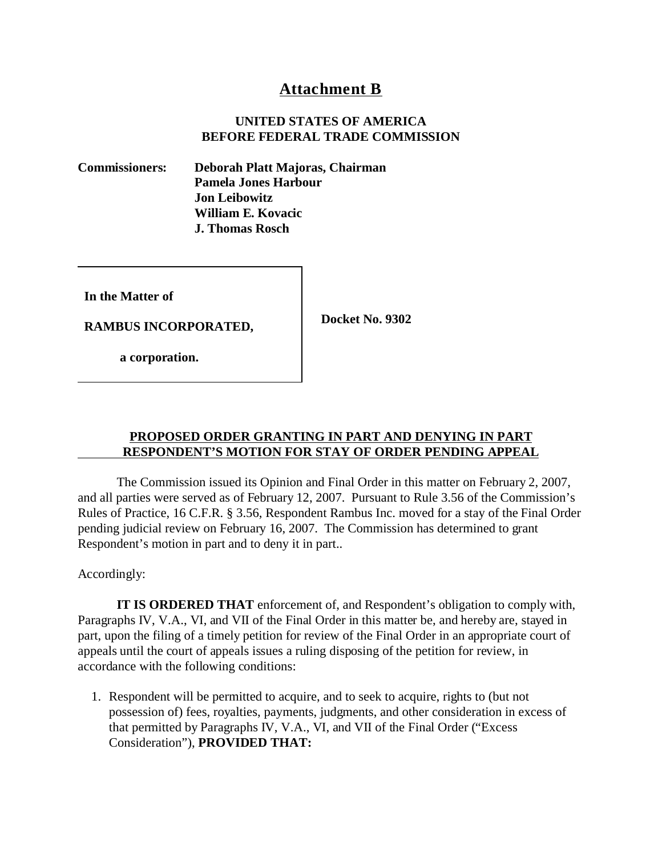# **Attachment B**

## **UNITED STATES OF AMERICA BEFORE FEDERAL TRADE COMMISSION**

**Commissioners: Deborah Platt Majoras, Chairman Pamela Jones Harbour Jon Leibowitz William E. Kovacic J. Thomas Rosch** 

**In the Matter of** 

**Docket No. 9302 RAMBUS INCORPORATED,**

 **a corporation.** 

## **PROPOSED ORDER GRANTING IN PART AND DENYING IN PART RESPONDENT'S MOTION FOR STAY OF ORDER PENDING APPEAL**

The Commission issued its Opinion and Final Order in this matter on February 2, 2007, and all parties were served as of February 12, 2007. Pursuant to Rule 3.56 of the Commission's Rules of Practice, 16 C.F.R. § 3.56, Respondent Rambus Inc. moved for a stay of the Final Order pending judicial review on February 16, 2007. The Commission has determined to grant Respondent's motion in part and to deny it in part..

Accordingly:

**IT IS ORDERED THAT** enforcement of, and Respondent's obligation to comply with, Paragraphs IV, V.A., VI, and VII of the Final Order in this matter be, and hereby are, stayed in part, upon the filing of a timely petition for review of the Final Order in an appropriate court of appeals until the court of appeals issues a ruling disposing of the petition for review, in accordance with the following conditions:

1. Respondent will be permitted to acquire, and to seek to acquire, rights to (but not possession of) fees, royalties, payments, judgments, and other consideration in excess of that permitted by Paragraphs IV, V.A., VI, and VII of the Final Order ("Excess Consideration"), **PROVIDED THAT:**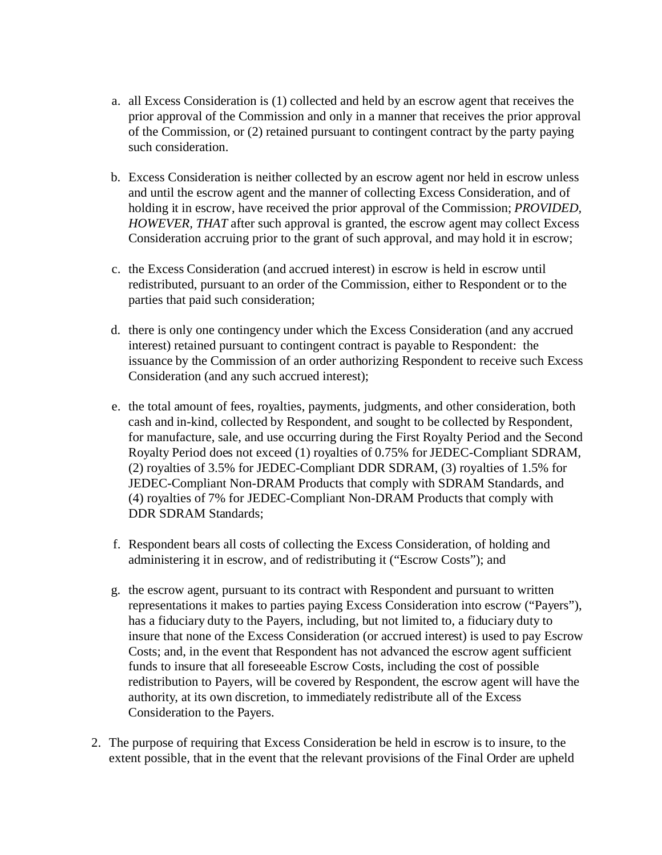- a. all Excess Consideration is (1) collected and held by an escrow agent that receives the prior approval of the Commission and only in a manner that receives the prior approval of the Commission, or (2) retained pursuant to contingent contract by the party paying such consideration.
- b. Excess Consideration is neither collected by an escrow agent nor held in escrow unless and until the escrow agent and the manner of collecting Excess Consideration, and of holding it in escrow, have received the prior approval of the Commission; *PROVIDED, HOWEVER, THAT* after such approval is granted, the escrow agent may collect Excess Consideration accruing prior to the grant of such approval, and may hold it in escrow;
- c. the Excess Consideration (and accrued interest) in escrow is held in escrow until redistributed, pursuant to an order of the Commission, either to Respondent or to the parties that paid such consideration;
- d. there is only one contingency under which the Excess Consideration (and any accrued interest) retained pursuant to contingent contract is payable to Respondent: the issuance by the Commission of an order authorizing Respondent to receive such Excess Consideration (and any such accrued interest);
- e. the total amount of fees, royalties, payments, judgments, and other consideration, both cash and in-kind, collected by Respondent, and sought to be collected by Respondent, for manufacture, sale, and use occurring during the First Royalty Period and the Second Royalty Period does not exceed (1) royalties of 0.75% for JEDEC-Compliant SDRAM, (2) royalties of 3.5% for JEDEC-Compliant DDR SDRAM, (3) royalties of 1.5% for JEDEC-Compliant Non-DRAM Products that comply with SDRAM Standards, and (4) royalties of 7% for JEDEC-Compliant Non-DRAM Products that comply with DDR SDRAM Standards;
- f. Respondent bears all costs of collecting the Excess Consideration, of holding and administering it in escrow, and of redistributing it ("Escrow Costs"); and
- g. the escrow agent, pursuant to its contract with Respondent and pursuant to written representations it makes to parties paying Excess Consideration into escrow ("Payers"), has a fiduciary duty to the Payers, including, but not limited to, a fiduciary duty to insure that none of the Excess Consideration (or accrued interest) is used to pay Escrow Costs; and, in the event that Respondent has not advanced the escrow agent sufficient funds to insure that all foreseeable Escrow Costs, including the cost of possible redistribution to Payers, will be covered by Respondent, the escrow agent will have the authority, at its own discretion, to immediately redistribute all of the Excess Consideration to the Payers.
- 2. The purpose of requiring that Excess Consideration be held in escrow is to insure, to the extent possible, that in the event that the relevant provisions of the Final Order are upheld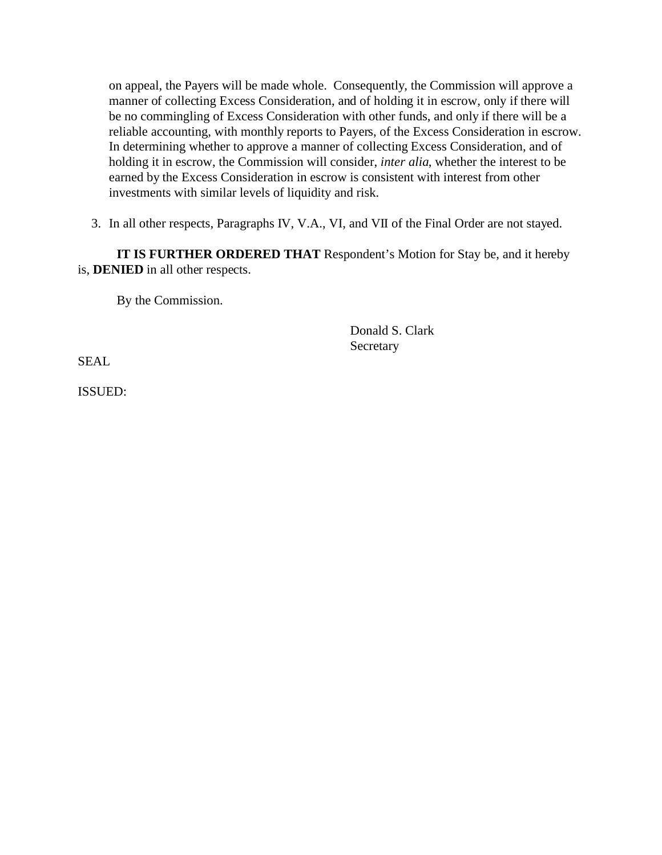on appeal, the Payers will be made whole. Consequently, the Commission will approve a manner of collecting Excess Consideration, and of holding it in escrow, only if there will be no commingling of Excess Consideration with other funds, and only if there will be a reliable accounting, with monthly reports to Payers, of the Excess Consideration in escrow. In determining whether to approve a manner of collecting Excess Consideration, and of holding it in escrow, the Commission will consider, *inter alia*, whether the interest to be earned by the Excess Consideration in escrow is consistent with interest from other investments with similar levels of liquidity and risk.

3. In all other respects, Paragraphs IV, V.A., VI, and VII of the Final Order are not stayed.

**IT IS FURTHER ORDERED THAT** Respondent's Motion for Stay be, and it hereby is, **DENIED** in all other respects.

By the Commission.

Donald S. Clark Secretary

SEAL

ISSUED: